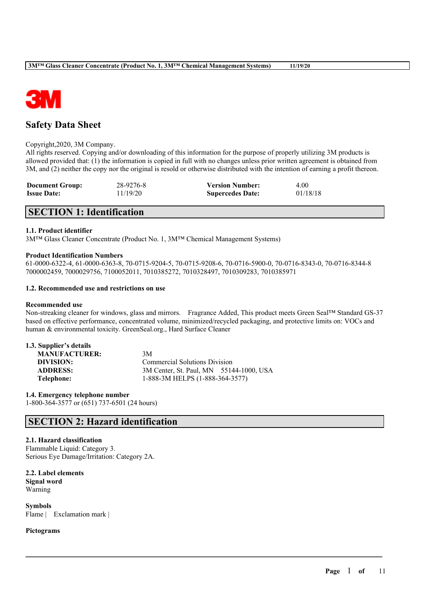

# **Safety Data Sheet**

### Copyright,2020, 3M Company.

All rights reserved. Copying and/or downloading of this information for the purpose of properly utilizing 3M products is allowed provided that: (1) the information is copied in full with no changes unless prior written agreement is obtained from 3M, and (2) neither the copy nor the original is resold or otherwise distributed with the intention of earning a profit thereon.

| <b>Document Group:</b> | 28-9276-8 | <b>Version Number:</b>  | 4.00     |
|------------------------|-----------|-------------------------|----------|
| <b>Issue Date:</b>     | 11/19/20  | <b>Supercedes Date:</b> | 01/18/18 |

# **SECTION 1: Identification**

## **1.1. Product identifier**

3M™ Glass Cleaner Concentrate (Product No. 1, 3M™ Chemical Management Systems)

### **Product Identification Numbers**

61-0000-6322-4, 61-0000-6363-8, 70-0715-9204-5, 70-0715-9208-6, 70-0716-5900-0, 70-0716-8343-0, 70-0716-8344-8 7000002459, 7000029756, 7100052011, 7010385272, 7010328497, 7010309283, 7010385971

### **1.2. Recommended use and restrictions on use**

#### **Recommended use**

Non-streaking cleaner for windows, glass and mirrors. Fragrance Added, This product meets Green Seal™ Standard GS-37 based on effective performance, concentrated volume, minimized/recycled packaging, and protective limits on: VOCs and human & environmental toxicity. GreenSeal.org., Hard Surface Cleaner

 $\mathcal{L}_\mathcal{L} = \mathcal{L}_\mathcal{L} = \mathcal{L}_\mathcal{L} = \mathcal{L}_\mathcal{L} = \mathcal{L}_\mathcal{L} = \mathcal{L}_\mathcal{L} = \mathcal{L}_\mathcal{L} = \mathcal{L}_\mathcal{L} = \mathcal{L}_\mathcal{L} = \mathcal{L}_\mathcal{L} = \mathcal{L}_\mathcal{L} = \mathcal{L}_\mathcal{L} = \mathcal{L}_\mathcal{L} = \mathcal{L}_\mathcal{L} = \mathcal{L}_\mathcal{L} = \mathcal{L}_\mathcal{L} = \mathcal{L}_\mathcal{L}$ 

| 3M Center, St. Paul, MN 55144-1000, USA |
|-----------------------------------------|
|                                         |
|                                         |

**1.4. Emergency telephone number** 1-800-364-3577 or (651) 737-6501 (24 hours)

# **SECTION 2: Hazard identification**

## **2.1. Hazard classification**

Flammable Liquid: Category 3. Serious Eye Damage/Irritation: Category 2A.

**2.2. Label elements Signal word** Warning

**Symbols** Flame | Exclamation mark |

#### **Pictograms**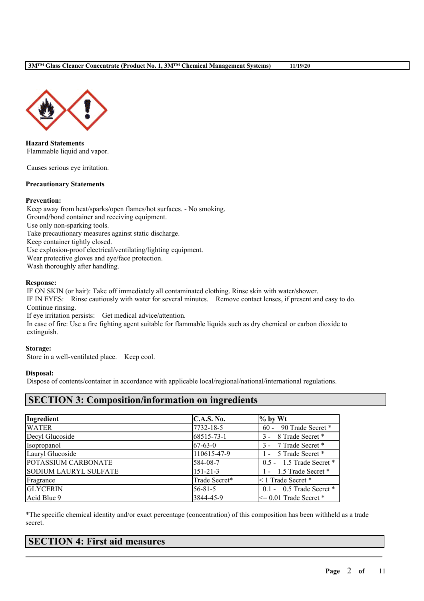

**Hazard Statements** Flammable liquid and vapor.

Causes serious eye irritation.

## **Precautionary Statements**

### **Prevention:**

Keep away from heat/sparks/open flames/hot surfaces. - No smoking. Ground/bond container and receiving equipment. Use only non-sparking tools. Take precautionary measures against static discharge. Keep container tightly closed. Use explosion-proof electrical/ventilating/lighting equipment. Wear protective gloves and eye/face protection. Wash thoroughly after handling.

### **Response:**

IF ON SKIN (or hair): Take off immediately all contaminated clothing. Rinse skin with water/shower.

IF IN EYES: Rinse cautiously with water for several minutes. Remove contact lenses, if present and easy to do. Continue rinsing.

If eye irritation persists: Get medical advice/attention.

In case of fire: Use a fire fighting agent suitable for flammable liquids such as dry chemical or carbon dioxide to extinguish.

## **Storage:**

Store in a well-ventilated place. Keep cool.

## **Disposal:**

Dispose of contents/container in accordance with applicable local/regional/national/international regulations.

# **SECTION 3: Composition/information on ingredients**

| Ingredient                   | <b>C.A.S. No.</b> | $%$ by Wt                   |
|------------------------------|-------------------|-----------------------------|
| <b>WATER</b>                 | 7732-18-5         | 90 Trade Secret *<br>$60 -$ |
| Decyl Glucoside              | 68515-73-1        | 3 - 8 Trade Secret *        |
| Isopropanol                  | $67-63-0$         | 3 - 7 Trade Secret *        |
| Lauryl Glucoside             | 110615-47-9       | 1 - 5 Trade Secret *        |
| POTASSIUM CARBONATE          | 584-08-7          | $0.5 - 1.5$ Trade Secret *  |
| <b>SODIUM LAURYL SULFATE</b> | $151 - 21 - 3$    | 1 - 1.5 Trade Secret *      |
| Fragrance                    | Trade Secret*     | <1 Trade Secret *           |
| <b>GLYCERIN</b>              | $56 - 81 - 5$     | $0.1 - 0.5$ Trade Secret *  |
| Acid Blue 9                  | 3844-45-9         | $\leq$ 0.01 Trade Secret *  |

\*The specific chemical identity and/or exact percentage (concentration) of this composition has been withheld as a trade secret.

 $\mathcal{L}_\mathcal{L} = \mathcal{L}_\mathcal{L} = \mathcal{L}_\mathcal{L} = \mathcal{L}_\mathcal{L} = \mathcal{L}_\mathcal{L} = \mathcal{L}_\mathcal{L} = \mathcal{L}_\mathcal{L} = \mathcal{L}_\mathcal{L} = \mathcal{L}_\mathcal{L} = \mathcal{L}_\mathcal{L} = \mathcal{L}_\mathcal{L} = \mathcal{L}_\mathcal{L} = \mathcal{L}_\mathcal{L} = \mathcal{L}_\mathcal{L} = \mathcal{L}_\mathcal{L} = \mathcal{L}_\mathcal{L} = \mathcal{L}_\mathcal{L}$ 

# **SECTION 4: First aid measures**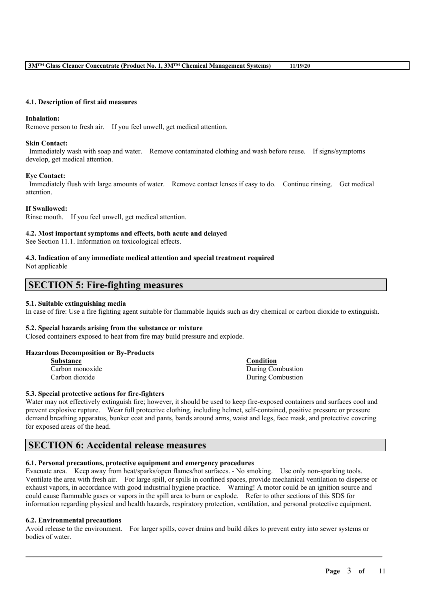### **4.1. Description of first aid measures**

#### **Inhalation:**

Remove person to fresh air. If you feel unwell, get medical attention.

#### **Skin Contact:**

Immediately wash with soap and water. Remove contaminated clothing and wash before reuse. If signs/symptoms develop, get medical attention.

### **Eye Contact:**

Immediately flush with large amounts of water. Remove contact lenses if easy to do. Continue rinsing. Get medical attention.

### **If Swallowed:**

Rinse mouth. If you feel unwell, get medical attention.

### **4.2. Most important symptoms and effects, both acute and delayed**

See Section 11.1. Information on toxicological effects.

#### **4.3. Indication of any immediate medical attention and special treatment required** Not applicable

# **SECTION 5: Fire-fighting measures**

### **5.1. Suitable extinguishing media**

In case of fire: Use a fire fighting agent suitable for flammable liquids such as dry chemical or carbon dioxide to extinguish.

## **5.2. Special hazards arising from the substance or mixture**

Closed containers exposed to heat from fire may build pressure and explode.

## **Hazardous Decomposition or By-Products**

| <b>Substance</b> | <b>Condition</b>  |
|------------------|-------------------|
| Carbon monoxide  | During Combustion |
| Carbon dioxide   | During Combustion |

## **5.3. Special protective actions for fire-fighters**

Water may not effectively extinguish fire; however, it should be used to keep fire-exposed containers and surfaces cool and prevent explosive rupture. Wear full protective clothing, including helmet, self-contained, positive pressure or pressure demand breathing apparatus, bunker coat and pants, bands around arms, waist and legs, face mask, and protective covering for exposed areas of the head.

# **SECTION 6: Accidental release measures**

## **6.1. Personal precautions, protective equipment and emergency procedures**

Evacuate area. Keep away from heat/sparks/open flames/hot surfaces. - No smoking. Use only non-sparking tools. Ventilate the area with fresh air. For large spill, or spills in confined spaces, provide mechanical ventilation to disperse or exhaust vapors, in accordance with good industrial hygiene practice. Warning! A motor could be an ignition source and could cause flammable gases or vapors in the spill area to burn or explode. Refer to other sections of this SDS for information regarding physical and health hazards, respiratory protection, ventilation, and personal protective equipment.

#### **6.2. Environmental precautions**

Avoid release to the environment. For larger spills, cover drains and build dikes to prevent entry into sewer systems or bodies of water.

 $\mathcal{L}_\mathcal{L} = \mathcal{L}_\mathcal{L} = \mathcal{L}_\mathcal{L} = \mathcal{L}_\mathcal{L} = \mathcal{L}_\mathcal{L} = \mathcal{L}_\mathcal{L} = \mathcal{L}_\mathcal{L} = \mathcal{L}_\mathcal{L} = \mathcal{L}_\mathcal{L} = \mathcal{L}_\mathcal{L} = \mathcal{L}_\mathcal{L} = \mathcal{L}_\mathcal{L} = \mathcal{L}_\mathcal{L} = \mathcal{L}_\mathcal{L} = \mathcal{L}_\mathcal{L} = \mathcal{L}_\mathcal{L} = \mathcal{L}_\mathcal{L}$ 

**Page** 3 **of** 11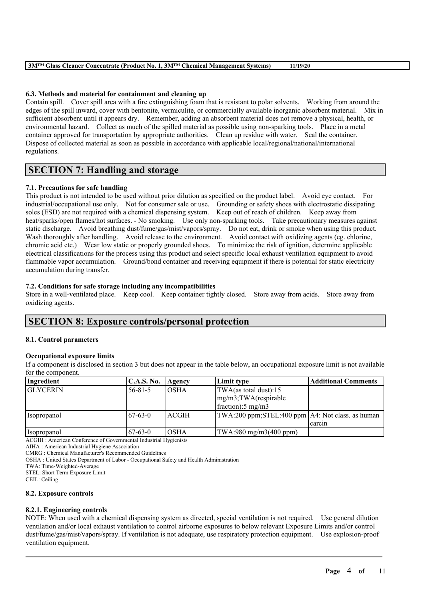| 3M <sup>™</sup> Glass Cleaner Concentrate (Product No. 1, 3M <sup>™</sup> Chemical Management Systems) | 11/19/20 |
|--------------------------------------------------------------------------------------------------------|----------|
|                                                                                                        |          |

## **6.3. Methods and material for containment and cleaning up**

Contain spill. Cover spill area with a fire extinguishing foam that is resistant to polar solvents. Working from around the edges of the spill inward, cover with bentonite, vermiculite, or commercially available inorganic absorbent material. Mix in sufficient absorbent until it appears dry. Remember, adding an absorbent material does not remove a physical, health, or environmental hazard. Collect as much of the spilled material as possible using non-sparking tools. Place in a metal container approved for transportation by appropriate authorities. Clean up residue with water. Seal the container. Dispose of collected material as soon as possible in accordance with applicable local/regional/national/international regulations.

# **SECTION 7: Handling and storage**

## **7.1. Precautions for safe handling**

This product is not intended to be used without prior dilution as specified on the product label. Avoid eye contact. For industrial/occupational use only. Not for consumer sale or use. Grounding or safety shoes with electrostatic dissipating soles (ESD) are not required with a chemical dispensing system. Keep out of reach of children. Keep away from heat/sparks/open flames/hot surfaces. - No smoking. Use only non-sparking tools. Take precautionary measures against static discharge. Avoid breathing dust/fume/gas/mist/vapors/spray. Do not eat, drink or smoke when using this product. Wash thoroughly after handling. Avoid release to the environment. Avoid contact with oxidizing agents (eg. chlorine, chromic acid etc.) Wear low static or properly grounded shoes. To minimize the risk of ignition, determine applicable electrical classifications for the process using this product and select specific local exhaust ventilation equipment to avoid flammable vapor accumulation. Ground/bond container and receiving equipment if there is potential for static electricity accumulation during transfer.

## **7.2. Conditions for safe storage including any incompatibilities**

Store in a well-ventilated place. Keep cool. Keep container tightly closed. Store away from acids. Store away from oxidizing agents.

# **SECTION 8: Exposure controls/personal protection**

## **8.1. Control parameters**

## **Occupational exposure limits**

If a component is disclosed in section 3 but does not appear in the table below, an occupational exposure limit is not available for the component.

| Ingredient         | <b>C.A.S. No.</b> | Agency       | Limit type                                         | <b>Additional Comments</b> |
|--------------------|-------------------|--------------|----------------------------------------------------|----------------------------|
| <b>GLYCERIN</b>    | $56 - 81 - 5$     | IOSHA        | TWA(as total dust):15                              |                            |
|                    |                   |              | $mg/m3$ ; TWA(respirable                           |                            |
|                    |                   |              | fraction): $5 \text{ mg/m}$                        |                            |
| <i>Isopropanol</i> | 67-63-0           | <b>ACGIH</b> | TWA:200 ppm;STEL:400 ppm   A4: Not class. as human |                            |
|                    |                   |              |                                                    | l carcin                   |
| <i>s</i> opropanol | $67-63-0$         | <b>OSHA</b>  | $TWA:980$ mg/m $3(400$ ppm)                        |                            |

ACGIH : American Conference of Governmental Industrial Hygienists

AIHA : American Industrial Hygiene Association

CMRG : Chemical Manufacturer's Recommended Guidelines

OSHA : United States Department of Labor - Occupational Safety and Health Administration

TWA: Time-Weighted-Average

STEL: Short Term Exposure Limit

CEIL: Ceiling

#### **8.2. Exposure controls**

# **8.2.1. Engineering controls**

NOTE: When used with a chemical dispensing system as directed, special ventilation is not required. Use general dilution ventilation and/or local exhaust ventilation to control airborne exposures to below relevant Exposure Limits and/or control dust/fume/gas/mist/vapors/spray. If ventilation is not adequate, use respiratory protection equipment. Use explosion-proof ventilation equipment.

 $\mathcal{L}_\mathcal{L} = \mathcal{L}_\mathcal{L} = \mathcal{L}_\mathcal{L} = \mathcal{L}_\mathcal{L} = \mathcal{L}_\mathcal{L} = \mathcal{L}_\mathcal{L} = \mathcal{L}_\mathcal{L} = \mathcal{L}_\mathcal{L} = \mathcal{L}_\mathcal{L} = \mathcal{L}_\mathcal{L} = \mathcal{L}_\mathcal{L} = \mathcal{L}_\mathcal{L} = \mathcal{L}_\mathcal{L} = \mathcal{L}_\mathcal{L} = \mathcal{L}_\mathcal{L} = \mathcal{L}_\mathcal{L} = \mathcal{L}_\mathcal{L}$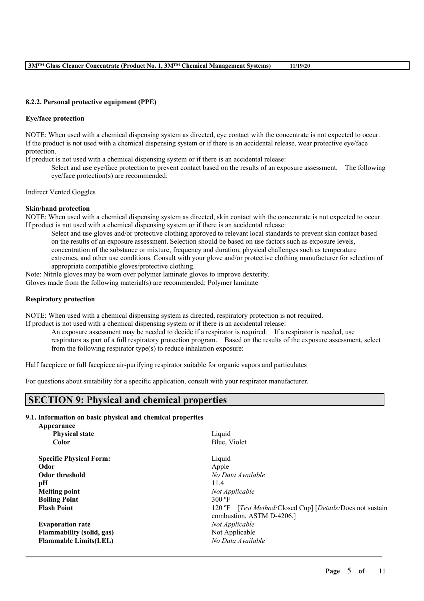## **8.2.2. Personal protective equipment (PPE)**

### **Eye/face protection**

NOTE: When used with a chemical dispensing system as directed, eye contact with the concentrate is not expected to occur. If the product is not used with a chemical dispensing system or if there is an accidental release, wear protective eye/face protection.

If product is not used with a chemical dispensing system or if there is an accidental release:

Select and use eye/face protection to prevent contact based on the results of an exposure assessment. The following eye/face protection(s) are recommended:

Indirect Vented Goggles

### **Skin/hand protection**

NOTE: When used with a chemical dispensing system as directed, skin contact with the concentrate is not expected to occur. If product is not used with a chemical dispensing system or if there is an accidental release:

Select and use gloves and/or protective clothing approved to relevant local standards to prevent skin contact based on the results of an exposure assessment. Selection should be based on use factors such as exposure levels, concentration of the substance or mixture, frequency and duration, physical challenges such as temperature extremes, and other use conditions. Consult with your glove and/or protective clothing manufacturer for selection of appropriate compatible gloves/protective clothing.

Note: Nitrile gloves may be worn over polymer laminate gloves to improve dexterity. Gloves made from the following material(s) are recommended: Polymer laminate

#### **Respiratory protection**

NOTE: When used with a chemical dispensing system as directed, respiratory protection is not required.

If product is not used with a chemical dispensing system or if there is an accidental release:

An exposure assessment may be needed to decide if a respirator is required. If a respirator is needed, use respirators as part of a full respiratory protection program. Based on the results of the exposure assessment, select from the following respirator type(s) to reduce inhalation exposure:

Half facepiece or full facepiece air-purifying respirator suitable for organic vapors and particulates

For questions about suitability for a specific application, consult with your respirator manufacturer.

# **SECTION 9: Physical and chemical properties**

## **9.1. Information on basic physical and chemical properties**

| Appearance                     |                                                                                        |  |
|--------------------------------|----------------------------------------------------------------------------------------|--|
| <b>Physical state</b>          | Liquid                                                                                 |  |
| Color                          | Blue, Violet                                                                           |  |
| <b>Specific Physical Form:</b> | Liquid                                                                                 |  |
| Odor                           | Apple                                                                                  |  |
| <b>Odor threshold</b>          | No Data Available                                                                      |  |
| pН                             | 11.4                                                                                   |  |
| <b>Melting point</b>           | Not Applicable                                                                         |  |
| <b>Boiling Point</b>           | $300 \text{°F}$                                                                        |  |
| <b>Flash Point</b>             | [Test Method:Closed Cup] [Details:Does not sustain]<br>$120 \text{ }^{\circ} \text{F}$ |  |
|                                | combustion, ASTM D-4206.]                                                              |  |
| <b>Evaporation rate</b>        | Not Applicable                                                                         |  |
| Flammability (solid, gas)      | Not Applicable                                                                         |  |
| <b>Flammable Limits(LEL)</b>   | No Data Available                                                                      |  |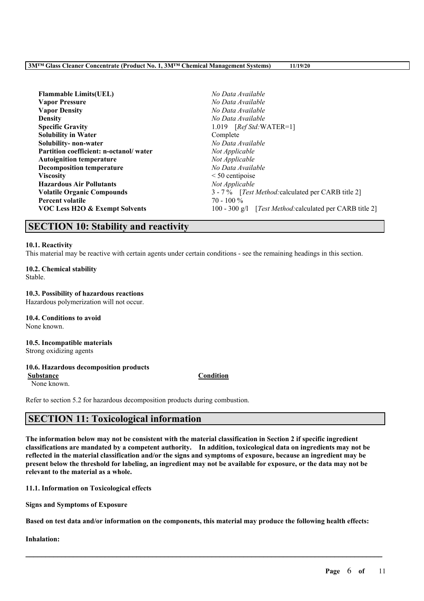| No Data Available                                          |  |  |
|------------------------------------------------------------|--|--|
| No Data Available                                          |  |  |
| No Data Available                                          |  |  |
| No Data Available                                          |  |  |
| 1.019 $[RefStd:WATER=1]$                                   |  |  |
| Complete                                                   |  |  |
| No Data Available                                          |  |  |
| Not Applicable                                             |  |  |
| Not Applicable                                             |  |  |
| No Data Available                                          |  |  |
| $\leq 50$ centipoise                                       |  |  |
| Not Applicable                                             |  |  |
| 3 - 7 % [ <i>Test Method:calculated per CARB title 2</i> ] |  |  |
| $70 - 100 \%$                                              |  |  |
| 100 - 300 g/l [Test Method: calculated per CARB title 2]   |  |  |
|                                                            |  |  |

# **SECTION 10: Stability and reactivity**

### **10.1. Reactivity**

This material may be reactive with certain agents under certain conditions - see the remaining headings in this section.

# **10.2. Chemical stability**

Stable.

### **10.3. Possibility of hazardous reactions**

Hazardous polymerization will not occur.

**10.4. Conditions to avoid** None known.

**10.5. Incompatible materials** Strong oxidizing agents

## **10.6. Hazardous decomposition products**

None known.

Refer to section 5.2 for hazardous decomposition products during combustion.

# **SECTION 11: Toxicological information**

The information below may not be consistent with the material classification in Section 2 if specific ingredient **classifications are mandated by a competent authority. In addition, toxicological data on ingredients may not be** reflected in the material classification and/or the signs and symptoms of exposure, because an ingredient may be present below the threshold for labeling, an ingredient may not be available for exposure, or the data may not be **relevant to the material as a whole.**

**11.1. Information on Toxicological effects**

**Signs and Symptoms of Exposure**

Based on test data and/or information on the components, this material may produce the following health effects:

 $\mathcal{L}_\mathcal{L} = \mathcal{L}_\mathcal{L} = \mathcal{L}_\mathcal{L} = \mathcal{L}_\mathcal{L} = \mathcal{L}_\mathcal{L} = \mathcal{L}_\mathcal{L} = \mathcal{L}_\mathcal{L} = \mathcal{L}_\mathcal{L} = \mathcal{L}_\mathcal{L} = \mathcal{L}_\mathcal{L} = \mathcal{L}_\mathcal{L} = \mathcal{L}_\mathcal{L} = \mathcal{L}_\mathcal{L} = \mathcal{L}_\mathcal{L} = \mathcal{L}_\mathcal{L} = \mathcal{L}_\mathcal{L} = \mathcal{L}_\mathcal{L}$ 

**Inhalation:**

# **Substance Condition**

**Page** 6 **of** 11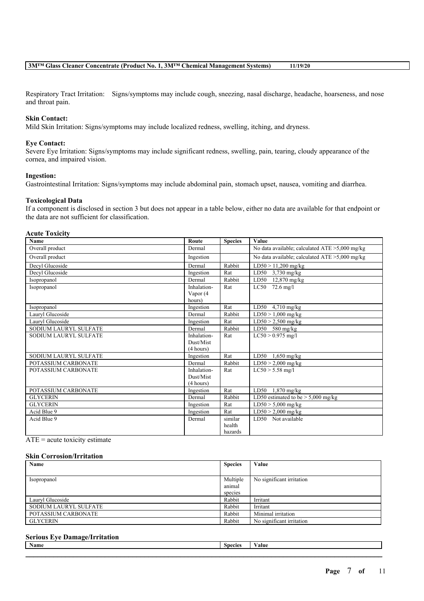Respiratory Tract Irritation: Signs/symptoms may include cough, sneezing, nasal discharge, headache, hoarseness, and nose and throat pain.

## **Skin Contact:**

Mild Skin Irritation: Signs/symptoms may include localized redness, swelling, itching, and dryness.

#### **Eye Contact:**

Severe Eye Irritation: Signs/symptoms may include significant redness, swelling, pain, tearing, cloudy appearance of the cornea, and impaired vision.

#### **Ingestion:**

Gastrointestinal Irritation: Signs/symptoms may include abdominal pain, stomach upset, nausea, vomiting and diarrhea.

#### **Toxicological Data**

If a component is disclosed in section 3 but does not appear in a table below, either no data are available for that endpoint or the data are not sufficient for classification.

## **Acute Toxicity**

| <b>Name</b>           | Route       | <b>Species</b> | Value                                             |
|-----------------------|-------------|----------------|---------------------------------------------------|
| Overall product       | Dermal      |                | No data available; calculated $ATE > 5,000$ mg/kg |
| Overall product       | Ingestion   |                | No data available; calculated $ATE > 5,000$ mg/kg |
| Decyl Glucoside       | Dermal      | Rabbit         | $LD50 > 11,200$ mg/kg                             |
| Decyl Glucoside       | Ingestion   | Rat            | LD50 3,730 mg/kg                                  |
| Isopropanol           | Dermal      | Rabbit         | $12,870$ mg/kg<br>LD50                            |
| Isopropanol           | Inhalation- | Rat            | LC50 72.6 mg/l                                    |
|                       | Vapor (4    |                |                                                   |
|                       | hours)      |                |                                                   |
| Isopropanol           | Ingestion   | Rat            | LD50 $4,710$ mg/kg                                |
| Lauryl Glucoside      | Dermal      | Rabbit         | $LD50 > 1,000$ mg/kg                              |
| Lauryl Glucoside      | Ingestion   | Rat            | $LD50 > 2,500$ mg/kg                              |
| SODIUM LAURYL SULFATE | Dermal      | Rabbit         | LD50 $580$ mg/kg                                  |
| SODIUM LAURYL SULFATE | Inhalation- | Rat            | $LC50 > 0.975$ mg/l                               |
|                       | Dust/Mist   |                |                                                   |
|                       | (4 hours)   |                |                                                   |
| SODIUM LAURYL SULFATE | Ingestion   | Rat            | LD50<br>$1,650$ mg/kg                             |
| POTASSIUM CARBONATE   | Dermal      | Rabbit         | $LD50 > 2,000$ mg/kg                              |
| POTASSIUM CARBONATE   | Inhalation- | Rat            | $LC50 > 5.58$ mg/l                                |
|                       | Dust/Mist   |                |                                                   |
|                       | (4 hours)   |                |                                                   |
| POTASSIUM CARBONATE   | Ingestion   | Rat            | LD50 1,870 mg/kg                                  |
| <b>GLYCERIN</b>       | Dermal      | Rabbit         | LD50 estimated to be $> 5,000$ mg/kg              |
| <b>GLYCERIN</b>       | Ingestion   | Rat            | $LD50 > 5,000$ mg/kg                              |
| Acid Blue 9           | Ingestion   | Rat            | $LD50 > 2,000$ mg/kg                              |
| Acid Blue 9           | Dermal      | similar        | LD50 Not available                                |
|                       |             | health         |                                                   |
|                       |             | hazards        |                                                   |

 $\overline{ATE}$  = acute toxicity estimate

### **Skin Corrosion/Irritation**

| Name                  | <b>Species</b> | Value                     |
|-----------------------|----------------|---------------------------|
|                       |                |                           |
| Isopropanol           | Multiple       | No significant irritation |
|                       | animal         |                           |
|                       | species        |                           |
| Lauryl Glucoside      | Rabbit         | Irritant                  |
| SODIUM LAURYL SULFATE | Rabbit         | Irritant                  |
| POTASSIUM CARBONATE   | Rabbit         | Minimal irritation        |
| <b>GLYCERIN</b>       | Rabbit         | No significant irritation |

#### **Serious Eye Damage/Irritation**

| <b>Name</b> | snecies | $\sim$ 3<br>'alue |
|-------------|---------|-------------------|
|             |         |                   |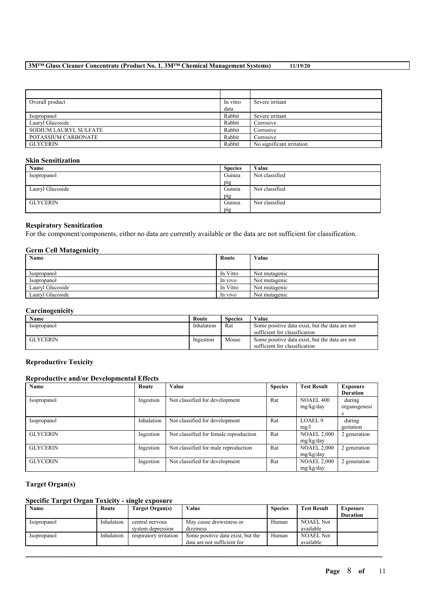## **3M™ Glass Cleaner Concentrate (Product No. 1, 3M™ Chemical Management Systems) 11/19/20**

| Overall product       | In vitro | Severe irritant           |
|-----------------------|----------|---------------------------|
|                       | data     |                           |
| <i>s</i> opropanol    | Rabbit   | Severe irritant           |
| Lauryl Glucoside      | Rabbit   | Corrosive                 |
| SODIUM LAURYL SULFATE | Rabbit   | Corrosive                 |
| POTASSIUM CARBONATE   | Rabbit   | Corrosive                 |
| GLYCERIN              | Rabbit   | No significant irritation |

## **Skin Sensitization**

| Name               | <b>Species</b> | Value          |
|--------------------|----------------|----------------|
| <i>s</i> opropanol | Guinea         | Not classified |
|                    | pig            |                |
| Lauryl Glucoside   | Guinea         | Not classified |
|                    | pig            |                |
| <b>GLYCERIN</b>    | Guinea         | Not classified |
|                    | pig            |                |

# **Respiratory Sensitization**

For the component/components, either no data are currently available or the data are not sufficient for classification.

## **Germ Cell Mutagenicity**

| Name               | Route    | Value         |
|--------------------|----------|---------------|
|                    |          |               |
| <i>s</i> opropanol | In Vitro | Not mutagenic |
| Isopropanol        | In vivo  | Not mutagenic |
| Lauryl Glucoside   | In Vitro | Not mutagenic |
| Laurvl Glucoside   | In vivo  | Not mutagenic |

### **Carcinogenicity**

| Name            | Route      | <b>Species</b> | Value                                                                           |
|-----------------|------------|----------------|---------------------------------------------------------------------------------|
| Isopropanol     | Inhalation | Rat            | Some positive data exist, but the data are not<br>sufficient for classification |
| <b>GLYCERIN</b> | Ingestion  | Mouse          | Some positive data exist, but the data are not<br>sufficient for classification |

## **Reproductive Toxicity**

## **Reproductive and/or Developmental Effects**

| Name            | Route      | Value                                  | <b>Species</b> | <b>Test Result</b>              | Exposure<br><b>Duration</b> |
|-----------------|------------|----------------------------------------|----------------|---------------------------------|-----------------------------|
| Isopropanol     | Ingestion  | Not classified for development         | Rat            | <b>NOAEL 400</b><br>mg/kg/day   | during<br>organogenesi      |
| Isopropanol     | Inhalation | Not classified for development         | Rat            | LOAEL <sub>9</sub><br>mg/l      | during<br>gestation         |
| <b>GLYCERIN</b> | Ingestion  | Not classified for female reproduction | Rat            | <b>NOAEL 2,000</b><br>mg/kg/day | 2 generation                |
| <b>GLYCERIN</b> | Ingestion  | Not classified for male reproduction   | Rat            | <b>NOAEL 2,000</b><br>mg/kg/day | 2 generation                |
| <b>GLYCERIN</b> | Ingestion  | Not classified for development         | Rat            | <b>NOAEL 2,000</b><br>mg/kg/day | 2 generation                |

# **Target Organ(s)**

## **Specific Target Organ Toxicity - single exposure**

| Name        | Route      | Target Organ(s)        | Value                             | <b>Species</b> | <b>Test Result</b> | Exposure        |
|-------------|------------|------------------------|-----------------------------------|----------------|--------------------|-----------------|
|             |            |                        |                                   |                |                    | <b>Duration</b> |
| Isopropanol | Inhalation | central nervous        | May cause drowsiness or           | Human          | <b>NOAEL Not</b>   |                 |
|             |            | system depression      | dizziness                         |                | available          |                 |
| Isopropanol | Inhalation | respiratory irritation | Some positive data exist, but the | Human          | <b>NOAEL Not</b>   |                 |
|             |            |                        | data are not sufficient for       |                | available          |                 |

 $\mathcal{L}_\mathcal{L} = \mathcal{L}_\mathcal{L} = \mathcal{L}_\mathcal{L} = \mathcal{L}_\mathcal{L} = \mathcal{L}_\mathcal{L} = \mathcal{L}_\mathcal{L} = \mathcal{L}_\mathcal{L} = \mathcal{L}_\mathcal{L} = \mathcal{L}_\mathcal{L} = \mathcal{L}_\mathcal{L} = \mathcal{L}_\mathcal{L} = \mathcal{L}_\mathcal{L} = \mathcal{L}_\mathcal{L} = \mathcal{L}_\mathcal{L} = \mathcal{L}_\mathcal{L} = \mathcal{L}_\mathcal{L} = \mathcal{L}_\mathcal{L}$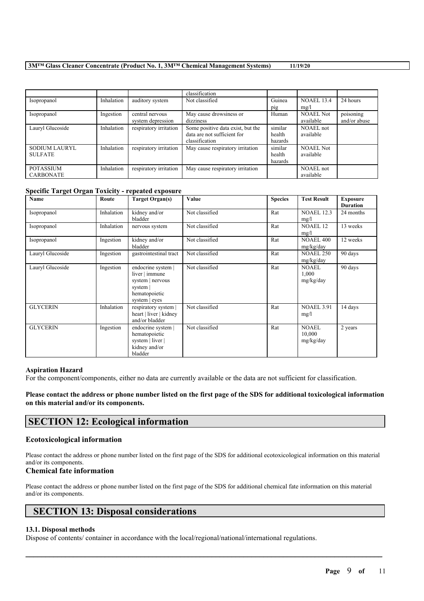### **3M™ Glass Cleaner Concentrate (Product No. 1, 3M™ Chemical Management Systems) 11/19/20**

|                      |            |                        | classification                    |         |                   |              |
|----------------------|------------|------------------------|-----------------------------------|---------|-------------------|--------------|
| Isopropanol          | Inhalation | auditory system        | Not classified                    | Guinea  | <b>NOAEL 13.4</b> | 24 hours     |
|                      |            |                        |                                   | pig     | mg/l              |              |
| Isopropanol          | Ingestion  | central nervous        | May cause drowsiness or           | Human   | <b>NOAEL Not</b>  | poisoning    |
|                      |            | system depression      | dizziness                         |         | available         | and/or abuse |
| Lauryl Glucoside     | Inhalation | respiratory irritation | Some positive data exist, but the | similar | NOAEL not         |              |
|                      |            |                        | data are not sufficient for       | health  | available         |              |
|                      |            |                        | classification                    | hazards |                   |              |
| <b>SODIUM LAURYL</b> | Inhalation | respiratory irritation | May cause respiratory irritation  | similar | <b>NOAEL Not</b>  |              |
| <b>SULFATE</b>       |            |                        |                                   | health  | available         |              |
|                      |            |                        |                                   | hazards |                   |              |
| <b>POTASSIUM</b>     | Inhalation | respiratory irritation | May cause respiratory irritation  |         | NOAEL not         |              |
| <b>CARBONATE</b>     |            |                        |                                   |         | available         |              |

# **Specific Target Organ Toxicity - repeated exposure**

| -<br>o<br>Name   | Route      | <b>Target Organ(s)</b>                                                                                   | Value          | <b>Species</b> | <b>Test Result</b>                 | <b>Exposure</b><br><b>Duration</b> |
|------------------|------------|----------------------------------------------------------------------------------------------------------|----------------|----------------|------------------------------------|------------------------------------|
| Isopropanol      | Inhalation | kidney and/or<br>bladder                                                                                 | Not classified | Rat            | <b>NOAEL 12.3</b><br>mg/l          | 24 months                          |
| Isopropanol      | Inhalation | nervous system                                                                                           | Not classified | Rat            | <b>NOAEL 12</b><br>mg/l            | 13 weeks                           |
| Isopropanol      | Ingestion  | kidney and/or<br>bladder                                                                                 | Not classified | Rat            | <b>NOAEL 400</b><br>mg/kg/day      | 12 weeks                           |
| Lauryl Glucoside | Ingestion  | gastrointestinal tract                                                                                   | Not classified | Rat            | <b>NOAEL 250</b><br>mg/kg/day      | 90 days                            |
| Lauryl Glucoside | Ingestion  | endocrine system  <br>liver   immune<br>system   nervous<br>system  <br>hematopoietic<br>system $ $ eyes | Not classified | Rat            | <b>NOAEL</b><br>1,000<br>mg/kg/day | 90 days                            |
| <b>GLYCERIN</b>  | Inhalation | respiratory system  <br>heart   liver   kidney<br>and/or bladder                                         | Not classified | Rat            | <b>NOAEL 3.91</b><br>mg/l          | 14 days                            |
| <b>GLYCERIN</b>  | Ingestion  | endocrine system  <br>hematopoietic<br>system   liver  <br>kidney and/or<br>bladder                      | Not classified | Rat            | NOAEL<br>10,000<br>mg/kg/day       | 2 years                            |

## **Aspiration Hazard**

For the component/components, either no data are currently available or the data are not sufficient for classification.

Please contact the address or phone number listed on the first page of the SDS for additional toxicological information **on this material and/or its components.**

# **SECTION 12: Ecological information**

# **Ecotoxicological information**

Please contact the address or phone number listed on the first page of the SDS for additional ecotoxicological information on this material and/or its components.

## **Chemical fate information**

Please contact the address or phone number listed on the first page of the SDS for additional chemical fate information on this material and/or its components.

 $\mathcal{L}_\mathcal{L} = \mathcal{L}_\mathcal{L} = \mathcal{L}_\mathcal{L} = \mathcal{L}_\mathcal{L} = \mathcal{L}_\mathcal{L} = \mathcal{L}_\mathcal{L} = \mathcal{L}_\mathcal{L} = \mathcal{L}_\mathcal{L} = \mathcal{L}_\mathcal{L} = \mathcal{L}_\mathcal{L} = \mathcal{L}_\mathcal{L} = \mathcal{L}_\mathcal{L} = \mathcal{L}_\mathcal{L} = \mathcal{L}_\mathcal{L} = \mathcal{L}_\mathcal{L} = \mathcal{L}_\mathcal{L} = \mathcal{L}_\mathcal{L}$ 

# **SECTION 13: Disposal considerations**

## **13.1. Disposal methods**

Dispose of contents/ container in accordance with the local/regional/national/international regulations.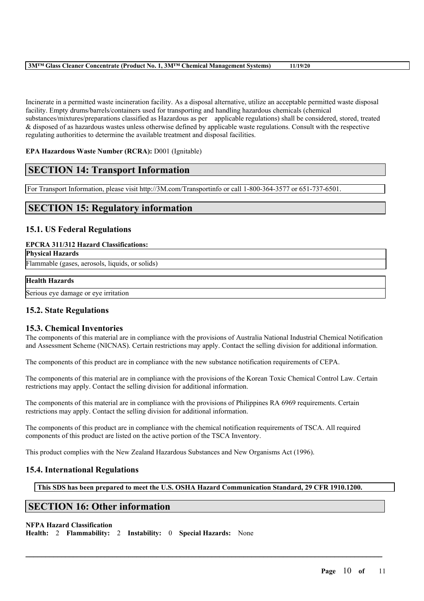|  |  |  | 3M™ Glass Cleaner Concentrate (Product No. 1, 3M™ Chemical Management Systems) | 11/19/20 |
|--|--|--|--------------------------------------------------------------------------------|----------|
|  |  |  |                                                                                |          |

Incinerate in a permitted waste incineration facility. As a disposal alternative, utilize an acceptable permitted waste disposal facility. Empty drums/barrels/containers used for transporting and handling hazardous chemicals (chemical substances/mixtures/preparations classified as Hazardous as per applicable regulations) shall be considered, stored, treated & disposed of as hazardous wastes unless otherwise defined by applicable waste regulations. Consult with the respective regulating authorities to determine the available treatment and disposal facilities.

# **EPA Hazardous Waste Number (RCRA):** D001 (Ignitable)

# **SECTION 14: Transport Information**

For Transport Information, please visit http://3M.com/Transportinfo or call 1-800-364-3577 or 651-737-6501.

# **SECTION 15: Regulatory information**

# **15.1. US Federal Regulations**

### **EPCRA 311/312 Hazard Classifications:**

| <b>Physical Hazards</b>                         |  |
|-------------------------------------------------|--|
| Flammable (gases, aerosols, liquids, or solids) |  |

## **Health Hazards**

Serious eye damage or eye irritation

# **15.2. State Regulations**

## **15.3. Chemical Inventories**

The components of this material are in compliance with the provisions of Australia National Industrial Chemical Notification and Assessment Scheme (NICNAS). Certain restrictions may apply. Contact the selling division for additional information.

The components of this product are in compliance with the new substance notification requirements of CEPA.

The components of this material are in compliance with the provisions of the Korean Toxic Chemical Control Law. Certain restrictions may apply. Contact the selling division for additional information.

The components of this material are in compliance with the provisions of Philippines RA 6969 requirements. Certain restrictions may apply. Contact the selling division for additional information.

The components of this product are in compliance with the chemical notification requirements of TSCA. All required components of this product are listed on the active portion of the TSCA Inventory.

This product complies with the New Zealand Hazardous Substances and New Organisms Act (1996).

# **15.4. International Regulations**

**This SDS has been prepared to meet the U.S. OSHA Hazard Communication Standard, 29 CFR 1910.1200.**

 $\mathcal{L}_\mathcal{L} = \mathcal{L}_\mathcal{L} = \mathcal{L}_\mathcal{L} = \mathcal{L}_\mathcal{L} = \mathcal{L}_\mathcal{L} = \mathcal{L}_\mathcal{L} = \mathcal{L}_\mathcal{L} = \mathcal{L}_\mathcal{L} = \mathcal{L}_\mathcal{L} = \mathcal{L}_\mathcal{L} = \mathcal{L}_\mathcal{L} = \mathcal{L}_\mathcal{L} = \mathcal{L}_\mathcal{L} = \mathcal{L}_\mathcal{L} = \mathcal{L}_\mathcal{L} = \mathcal{L}_\mathcal{L} = \mathcal{L}_\mathcal{L}$ 

# **SECTION 16: Other information**

#### **NFPA Hazard Classification**

**Health:** 2 **Flammability:** 2 **Instability:** 0 **Special Hazards:** None